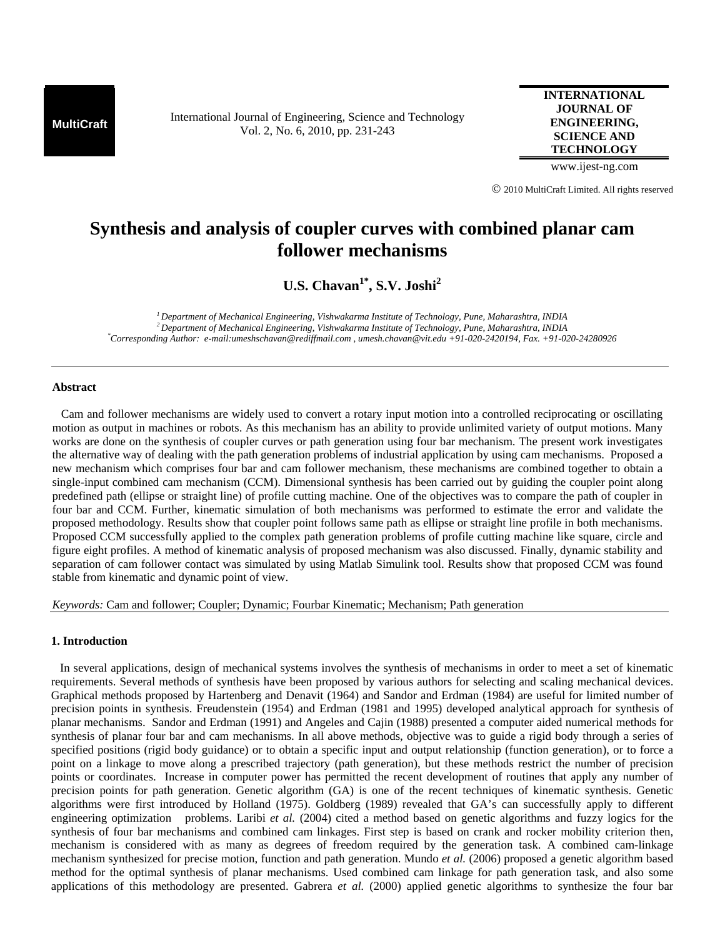**MultiCraft** International Journal of Engineering, Science and Technology Vol. 2, No. 6, 2010, pp. 231-243

**INTERNATIONAL JOURNAL OF ENGINEERING, SCIENCE AND TECHNOLOGY**

www.ijest-ng.com

© 2010 MultiCraft Limited. All rights reserved

# **Synthesis and analysis of coupler curves with combined planar cam follower mechanisms**

U.S. Chavan<sup>1\*</sup>, S.V. Joshi<sup>2</sup>

*1 Department of Mechanical Engineering, Vishwakarma Institute of Technology, Pune, Maharashtra, INDIA 2 Department of Mechanical Engineering, Vishwakarma Institute of Technology, Pune, Maharashtra, INDIA \* Corresponding Author: e-mail:umeshschavan@rediffmail.com , umesh.chavan@vit.edu +91-020-2420194, Fax. +91-020-24280926* 

#### **Abstract**

 Cam and follower mechanisms are widely used to convert a rotary input motion into a controlled reciprocating or oscillating motion as output in machines or robots. As this mechanism has an ability to provide unlimited variety of output motions. Many works are done on the synthesis of coupler curves or path generation using four bar mechanism. The present work investigates the alternative way of dealing with the path generation problems of industrial application by using cam mechanisms. Proposed a new mechanism which comprises four bar and cam follower mechanism, these mechanisms are combined together to obtain a single-input combined cam mechanism (CCM). Dimensional synthesis has been carried out by guiding the coupler point along predefined path (ellipse or straight line) of profile cutting machine. One of the objectives was to compare the path of coupler in four bar and CCM. Further, kinematic simulation of both mechanisms was performed to estimate the error and validate the proposed methodology. Results show that coupler point follows same path as ellipse or straight line profile in both mechanisms. Proposed CCM successfully applied to the complex path generation problems of profile cutting machine like square, circle and figure eight profiles. A method of kinematic analysis of proposed mechanism was also discussed. Finally, dynamic stability and separation of cam follower contact was simulated by using Matlab Simulink tool. Results show that proposed CCM was found stable from kinematic and dynamic point of view.

*Keywords:* Cam and follower; Coupler; Dynamic; Fourbar Kinematic; Mechanism; Path generation

## **1. Introduction**

 In several applications, design of mechanical systems involves the synthesis of mechanisms in order to meet a set of kinematic requirements. Several methods of synthesis have been proposed by various authors for selecting and scaling mechanical devices. Graphical methods proposed by Hartenberg and Denavit (1964) and Sandor and Erdman (1984) are useful for limited number of precision points in synthesis. Freudenstein (1954) and Erdman (1981 and 1995) developed analytical approach for synthesis of planar mechanisms. Sandor and Erdman (1991) and Angeles and Cajin (1988) presented a computer aided numerical methods for synthesis of planar four bar and cam mechanisms. In all above methods, objective was to guide a rigid body through a series of specified positions (rigid body guidance) or to obtain a specific input and output relationship (function generation), or to force a point on a linkage to move along a prescribed trajectory (path generation), but these methods restrict the number of precision points or coordinates. Increase in computer power has permitted the recent development of routines that apply any number of precision points for path generation. Genetic algorithm (GA) is one of the recent techniques of kinematic synthesis. Genetic algorithms were first introduced by Holland (1975). Goldberg (1989) revealed that GA's can successfully apply to different engineering optimization problems. Laribi *et al.* (2004) cited a method based on genetic algorithms and fuzzy logics for the synthesis of four bar mechanisms and combined cam linkages. First step is based on crank and rocker mobility criterion then, mechanism is considered with as many as degrees of freedom required by the generation task. A combined cam-linkage mechanism synthesized for precise motion, function and path generation. Mundo *et al.* (2006) proposed a genetic algorithm based method for the optimal synthesis of planar mechanisms. Used combined cam linkage for path generation task, and also some applications of this methodology are presented. Gabrera *et al.* (2000) applied genetic algorithms to synthesize the four bar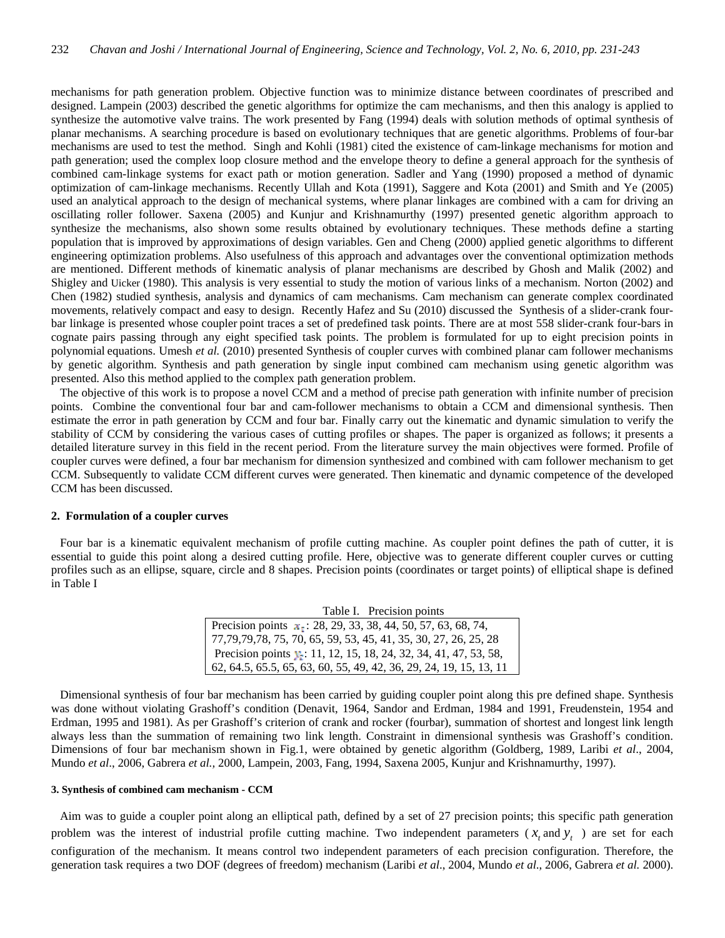mechanisms for path generation problem. Objective function was to minimize distance between coordinates of prescribed and designed. Lampein (2003) described the genetic algorithms for optimize the cam mechanisms, and then this analogy is applied to synthesize the automotive valve trains. The work presented by Fang (1994) deals with solution methods of optimal synthesis of planar mechanisms. A searching procedure is based on evolutionary techniques that are genetic algorithms. Problems of four-bar mechanisms are used to test the method. Singh and Kohli (1981) cited the existence of cam-linkage mechanisms for motion and path generation; used the complex loop closure method and the envelope theory to define a general approach for the synthesis of combined cam-linkage systems for exact path or motion generation. Sadler and Yang (1990) proposed a method of dynamic optimization of cam-linkage mechanisms. Recently Ullah and Kota (1991), Saggere and Kota (2001) and Smith and Ye (2005) used an analytical approach to the design of mechanical systems, where planar linkages are combined with a cam for driving an oscillating roller follower. Saxena (2005) and Kunjur and Krishnamurthy (1997) presented genetic algorithm approach to synthesize the mechanisms, also shown some results obtained by evolutionary techniques. These methods define a starting population that is improved by approximations of design variables. Gen and Cheng (2000) applied genetic algorithms to different engineering optimization problems. Also usefulness of this approach and advantages over the conventional optimization methods are mentioned. Different methods of kinematic analysis of planar mechanisms are described by Ghosh and Malik (2002) and Shigley and Uicker (1980). This analysis is very essential to study the motion of various links of a mechanism. Norton (2002) and Chen (1982) studied synthesis, analysis and dynamics of cam mechanisms. Cam mechanism can generate complex coordinated movements, relatively compact and easy to design. Recently Hafez and Su (2010) discussed the Synthesis of a slider-crank fourbar linkage is presented whose coupler point traces a set of predefined task points. There are at most 558 slider-crank four-bars in cognate pairs passing through any eight specified task points. The problem is formulated for up to eight precision points in polynomial equations. Umesh *et al.* (2010) presented Synthesis of coupler curves with combined planar cam follower mechanisms by genetic algorithm. Synthesis and path generation by single input combined cam mechanism using genetic algorithm was presented. Also this method applied to the complex path generation problem.

 The objective of this work is to propose a novel CCM and a method of precise path generation with infinite number of precision points. Combine the conventional four bar and cam-follower mechanisms to obtain a CCM and dimensional synthesis. Then estimate the error in path generation by CCM and four bar. Finally carry out the kinematic and dynamic simulation to verify the stability of CCM by considering the various cases of cutting profiles or shapes. The paper is organized as follows; it presents a detailed literature survey in this field in the recent period. From the literature survey the main objectives were formed. Profile of coupler curves were defined, a four bar mechanism for dimension synthesized and combined with cam follower mechanism to get CCM. Subsequently to validate CCM different curves were generated. Then kinematic and dynamic competence of the developed CCM has been discussed.

### **2. Formulation of a coupler curves**

 Four bar is a kinematic equivalent mechanism of profile cutting machine. As coupler point defines the path of cutter, it is essential to guide this point along a desired cutting profile. Here, objective was to generate different coupler curves or cutting profiles such as an ellipse, square, circle and 8 shapes. Precision points (coordinates or target points) of elliptical shape is defined in Table I

> Table I. Precision points Precision points  $x_1$ : 28, 29, 33, 38, 44, 50,  $\overline{57, 63, 68, 74}$ , 77,79,79,78, 75, 70, 65, 59, 53, 45, 41, 35, 30, 27, 26, 25, 28 Precision points : 11, 12, 15, 18, 24, 32, 34, 41, 47, 53, 58, 62, 64.5, 65.5, 65, 63, 60, 55, 49, 42, 36, 29, 24, 19, 15, 13, 11

 Dimensional synthesis of four bar mechanism has been carried by guiding coupler point along this pre defined shape. Synthesis was done without violating Grashoff's condition (Denavit, 1964, Sandor and Erdman, 1984 and 1991, Freudenstein, 1954 and Erdman, 1995 and 1981). As per Grashoff's criterion of crank and rocker (fourbar), summation of shortest and longest link length always less than the summation of remaining two link length. Constraint in dimensional synthesis was Grashoff's condition. Dimensions of four bar mechanism shown in Fig.1, were obtained by genetic algorithm (Goldberg, 1989, Laribi *et al*., 2004, Mundo *et al*., 2006, Gabrera *et al.,* 2000, Lampein, 2003, Fang, 1994, Saxena 2005, Kunjur and Krishnamurthy, 1997).

#### **3. Synthesis of combined cam mechanism - CCM**

 Aim was to guide a coupler point along an elliptical path, defined by a set of 27 precision points; this specific path generation problem was the interest of industrial profile cutting machine. Two independent parameters  $(x, \text{ and } y)$  are set for each configuration of the mechanism. It means control two independent parameters of each precision configuration. Therefore, the generation task requires a two DOF (degrees of freedom) mechanism (Laribi *et al*., 2004, Mundo *et al*., 2006, Gabrera *et al.* 2000).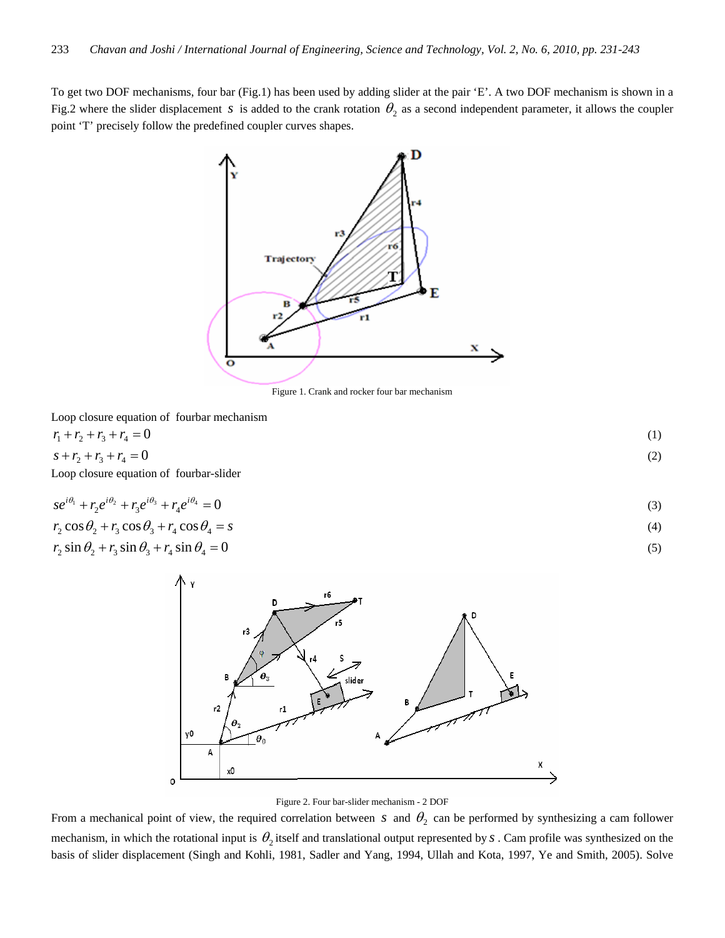To get two DOF mechanisms, four bar (Fig.1) has been used by adding slider at the pair 'E'. A two DOF mechanism is shown in a Fig.2 where the slider displacement *s* is added to the crank rotation  $\theta_2$  as a second independent parameter, it allows the coupler point 'T' precisely follow the predefined coupler curves shapes.



Figure 1. Crank and rocker four bar mechanism

Loop closure equation of fourbar mechanism

 $r_1 + r_2 + r_3 + r_4 = 0$  (1)  $s + r_2 + r_3 + r_4 = 0$  (2) Loop closure equation of fourbar-slider

$$
se^{i\theta_1} + r_2 e^{i\theta_2} + r_3 e^{i\theta_3} + r_4 e^{i\theta_4} = 0
$$
\n(3)

$$
r_2 \cos \theta_2 + r_3 \cos \theta_3 + r_4 \cos \theta_4 = s \tag{4}
$$

$$
r_2 \sin \theta_2 + r_3 \sin \theta_3 + r_4 \sin \theta_4 = 0 \tag{5}
$$





From a mechanical point of view, the required correlation between *s* and  $\theta_2$  can be performed by synthesizing a cam follower mechanism, in which the rotational input is  $\theta_2$  itself and translational output represented by *s*. Cam profile was synthesized on the basis of slider displacement (Singh and Kohli, 1981, Sadler and Yang, 1994, Ullah and Kota, 1997, Ye and Smith, 2005). Solve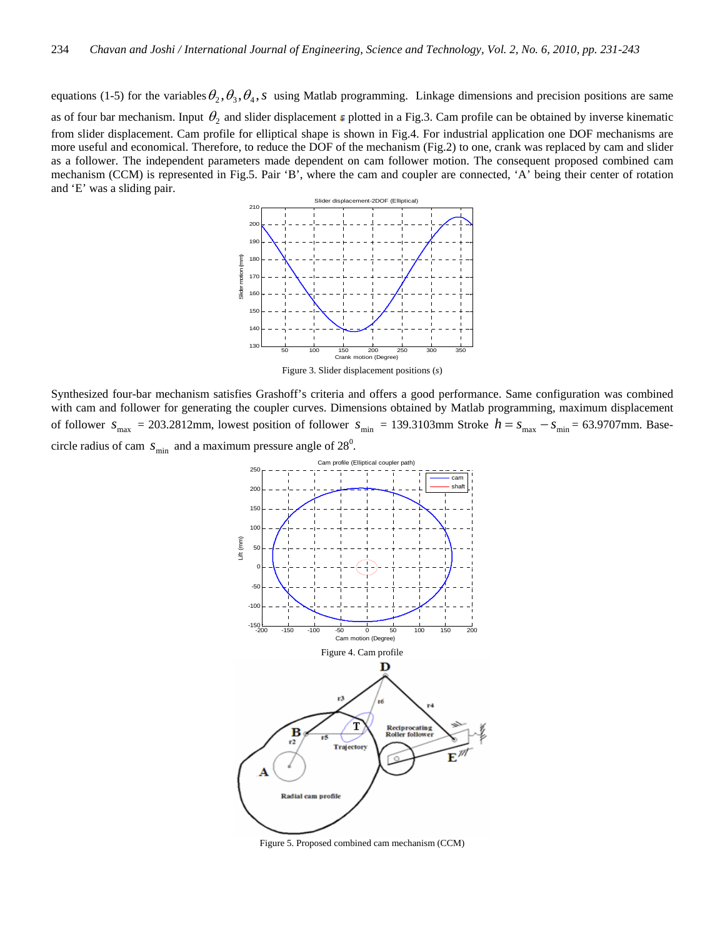equations (1-5) for the variables  $\theta_2$ ,  $\theta_3$ ,  $\theta_4$ , s using Matlab programming. Linkage dimensions and precision positions are same as of four bar mechanism. Input  $\theta_2$  and slider displacement  $\epsilon$  plotted in a Fig.3. Cam profile can be obtained by inverse kinematic from slider displacement. Cam profile for elliptical shape is shown in Fig.4. For industrial application one DOF mechanisms are more useful and economical. Therefore, to reduce the DOF of the mechanism (Fig.2) to one, crank was replaced by cam and slider as a follower. The independent parameters made dependent on cam follower motion. The consequent proposed combined cam mechanism (CCM) is represented in Fig.5. Pair 'B', where the cam and coupler are connected, 'A' being their center of rotation and 'E' was a sliding pair.



Figure 3. Slider displacement positions (*s*)

Synthesized four-bar mechanism satisfies Grashoff's criteria and offers a good performance. Same configuration was combined with cam and follower for generating the coupler curves. Dimensions obtained by Matlab programming, maximum displacement of follower  $s_{\text{max}} = 203.2812 \text{mm}$ , lowest position of follower  $s_{\text{min}} = 139.3103 \text{mm}$  Stroke  $h = s_{\text{max}} - s_{\text{min}} = 63.9707 \text{mm}$ . Basecircle radius of cam  $s_{\text{min}}$  and a maximum pressure angle of  $28^{\circ}$ .



Figure 5. Proposed combined cam mechanism (CCM)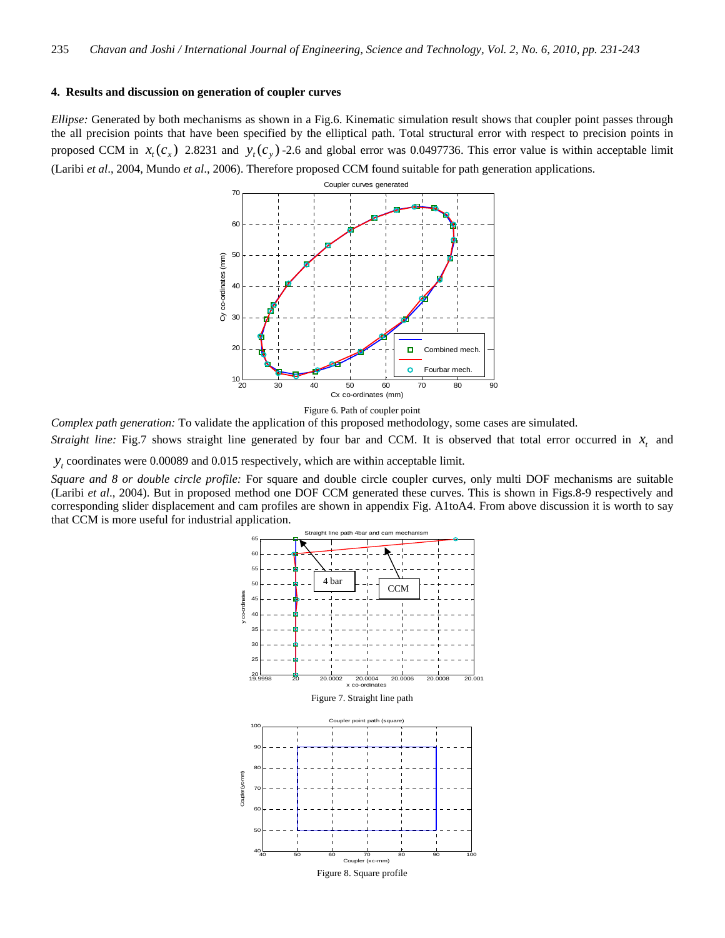#### **4. Results and discussion on generation of coupler curves**

*Ellipse:* Generated by both mechanisms as shown in a Fig.6. Kinematic simulation result shows that coupler point passes through the all precision points that have been specified by the elliptical path. Total structural error with respect to precision points in proposed CCM in  $x_t$  ( $c_x$ ) 2.8231 and  $y_t$   $c_y$ ) -2.6 and global error was 0.0497736. This error value is within acceptable limit (Laribi *et al*., 2004, Mundo *et al*., 2006). Therefore proposed CCM found suitable for path generation applications.



Figure 6. Path of coupler point

*Complex path generation:* To validate the application of this proposed methodology, some cases are simulated.

*Straight line:* Fig.7 shows straight line generated by four bar and CCM. It is observed that total error occurred in  $x$ , and

*y*<sub>*t*</sub> coordinates were 0.00089 and 0.015 respectively, which are within acceptable limit.

*Square and 8 or double circle profile:* For square and double circle coupler curves, only multi DOF mechanisms are suitable (Laribi *et al*., 2004). But in proposed method one DOF CCM generated these curves. This is shown in Figs.8-9 respectively and corresponding slider displacement and cam profiles are shown in appendix Fig. A1toA4. From above discussion it is worth to say that CCM is more useful for industrial application.

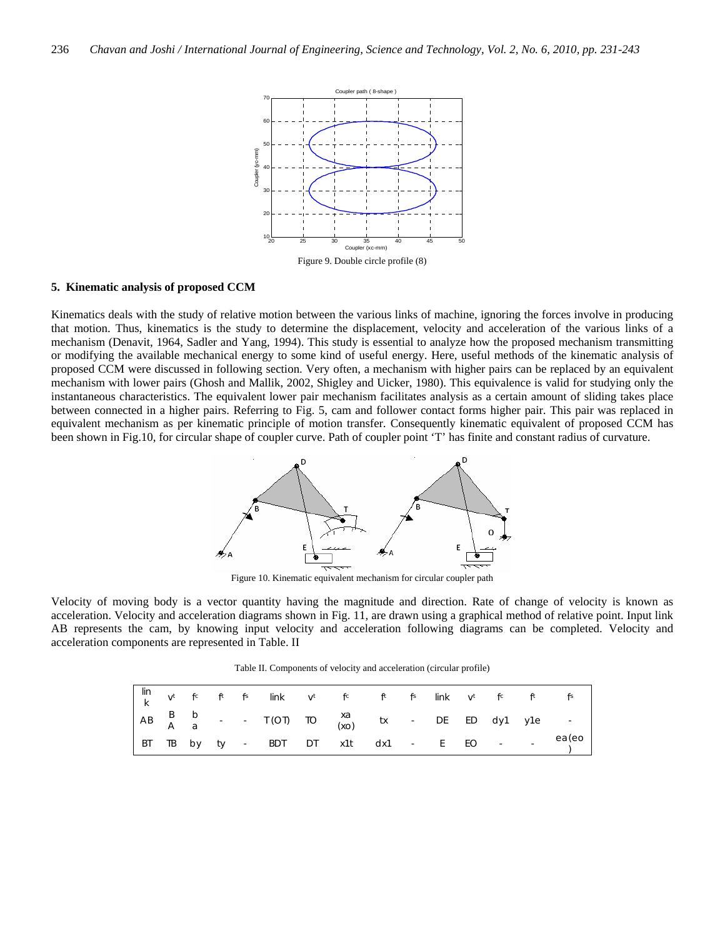

#### **5. Kinematic analysis of proposed CCM**

Kinematics deals with the study of relative motion between the various links of machine, ignoring the forces involve in producing that motion. Thus, kinematics is the study to determine the displacement, velocity and acceleration of the various links of a mechanism (Denavit, 1964, Sadler and Yang, 1994). This study is essential to analyze how the proposed mechanism transmitting or modifying the available mechanical energy to some kind of useful energy. Here, useful methods of the kinematic analysis of proposed CCM were discussed in following section. Very often, a mechanism with higher pairs can be replaced by an equivalent mechanism with lower pairs (Ghosh and Mallik, 2002, Shigley and Uicker, 1980). This equivalence is valid for studying only the instantaneous characteristics. The equivalent lower pair mechanism facilitates analysis as a certain amount of sliding takes place between connected in a higher pairs. Referring to Fig. 5, cam and follower contact forms higher pair. This pair was replaced in equivalent mechanism as per kinematic principle of motion transfer. Consequently kinematic equivalent of proposed CCM has been shown in Fig.10, for circular shape of coupler curve. Path of coupler point 'T' has finite and constant radius of curvature.



Figure 10. Kinematic equivalent mechanism for circular coupler path

Velocity of moving body is a vector quantity having the magnitude and direction. Rate of change of velocity is known as acceleration. Velocity and acceleration diagrams shown in Fig. 11, are drawn using a graphical method of relative point. Input link AB represents the cam, by knowing input velocity and acceleration following diagrams can be completed. Velocity and acceleration components are represented in Table. II

Table II. Components of velocity and acceleration (circular profile)

|  |  | $\begin{vmatrix} \n\text{lin} & & t & \hat{r} & \hat{r} & \hat{r} & \n\end{vmatrix}$ in the $\begin{vmatrix} t & t & t & t \\ \n\text{R} & t & t & t \n\end{vmatrix}$ |  |  |  |  |                                                                                                                                               |
|--|--|-----------------------------------------------------------------------------------------------------------------------------------------------------------------------|--|--|--|--|-----------------------------------------------------------------------------------------------------------------------------------------------|
|  |  | $AB \begin{bmatrix} B & b \\ A & a \end{bmatrix}$ - T (OT) TO $\begin{array}{ccc} xa & & \\ (xo) & & \end{array}$ tx - DE ED dy1 y1e -                                |  |  |  |  |                                                                                                                                               |
|  |  |                                                                                                                                                                       |  |  |  |  | $\begin{array}{ ccccccccccccccc }\n\hline\nBT & TB & by & ty & - & BDT & DT & x1t & dx1 & - & E & EO & - & - & ea(eo) \\ \hline\n\end{array}$ |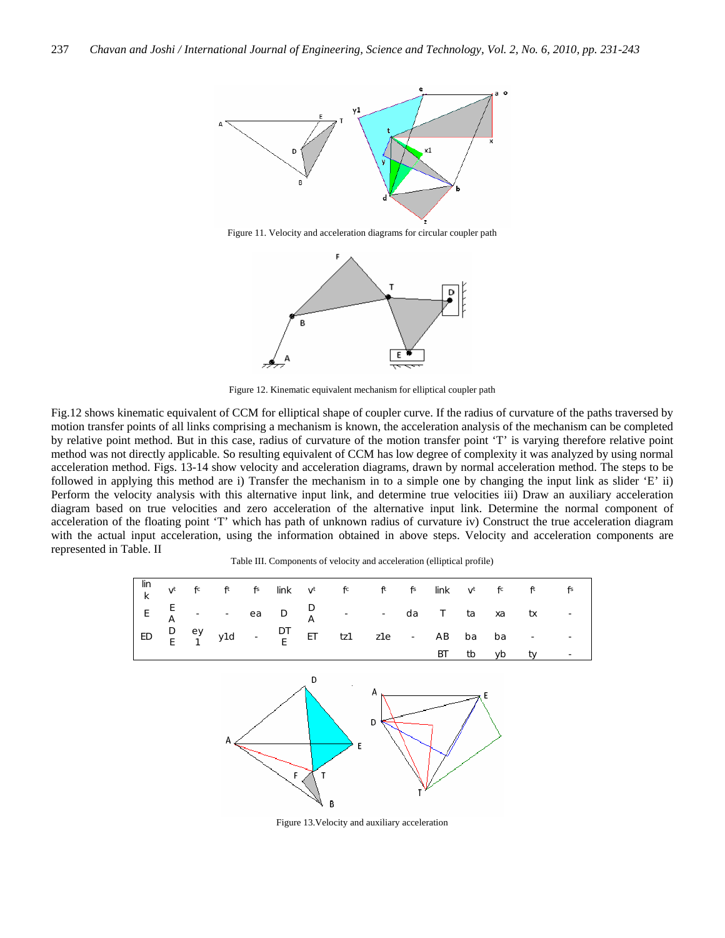

Figure 11. Velocity and acceleration diagrams for circular coupler path



Figure 12. Kinematic equivalent mechanism for elliptical coupler path

Fig.12 shows kinematic equivalent of CCM for elliptical shape of coupler curve. If the radius of curvature of the paths traversed by motion transfer points of all links comprising a mechanism is known, the acceleration analysis of the mechanism can be completed by relative point method. But in this case, radius of curvature of the motion transfer point 'T' is varying therefore relative point method was not directly applicable. So resulting equivalent of CCM has low degree of complexity it was analyzed by using normal acceleration method. Figs. 13-14 show velocity and acceleration diagrams, drawn by normal acceleration method. The steps to be followed in applying this method are i) Transfer the mechanism in to a simple one by changing the input link as slider 'E' ii) Perform the velocity analysis with this alternative input link, and determine true velocities iii) Draw an auxiliary acceleration diagram based on true velocities and zero acceleration of the alternative input link. Determine the normal component of acceleration of the floating point 'T' which has path of unknown radius of curvature iv) Construct the true acceleration diagram with the actual input acceleration, using the information obtained in above steps. Velocity and acceleration components are represented in Table. II

Table III. Components of velocity and acceleration (elliptical profile)



Figure 13.Velocity and auxiliary acceleration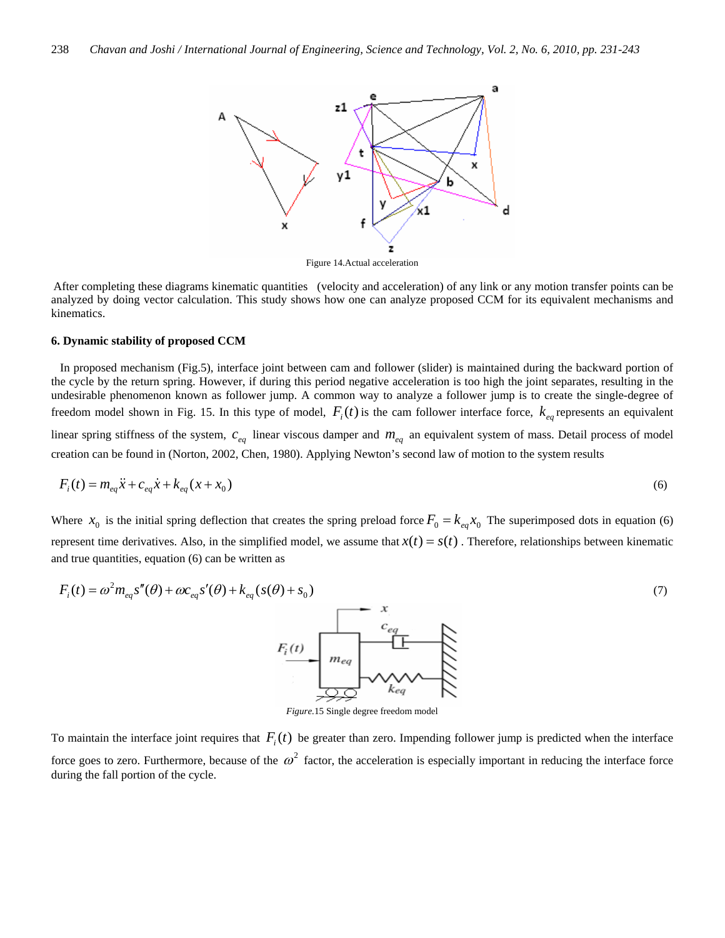

Figure 14.Actual acceleration

After completing these diagrams kinematic quantities (velocity and acceleration) of any link or any motion transfer points can be analyzed by doing vector calculation. This study shows how one can analyze proposed CCM for its equivalent mechanisms and kinematics.

#### **6. Dynamic stability of proposed CCM**

 In proposed mechanism (Fig.5), interface joint between cam and follower (slider) is maintained during the backward portion of the cycle by the return spring. However, if during this period negative acceleration is too high the joint separates, resulting in the undesirable phenomenon known as follower jump. A common way to analyze a follower jump is to create the single-degree of freedom model shown in Fig. 15. In this type of model,  $F_i(t)$  is the cam follower interface force,  $k_{eq}$  represents an equivalent linear spring stiffness of the system,  $c_{eq}$  linear viscous damper and  $m_{eq}$  an equivalent system of mass. Detail process of model

creation can be found in (Norton, 2002, Chen, 1980). Applying Newton's second law of motion to the system results

$$
F_i(t) = m_{eq} \ddot{x} + c_{eq} \dot{x} + k_{eq} (x + x_0)
$$
\n(6)

Where  $x_0$  is the initial spring deflection that creates the spring preload force  $F_0 = k_{eq} x_0$  The superimposed dots in equation (6) represent time derivatives. Also, in the simplified model, we assume that  $x(t) = s(t)$ . Therefore, relationships between kinematic and true quantities, equation (6) can be written as

$$
F_i(t) = \omega^2 m_{eq} s''(\theta) + \omega c_{eq} s'(\theta) + k_{eq}(s(\theta) + s_0)
$$
\n
$$
F_i(t)
$$
\n
$$
F_i(t)
$$
\n
$$
m_{eq}
$$
\n
$$
m_{eq}
$$
\n
$$
m_{eq}
$$
\n
$$
m_{eq}
$$
\n
$$
m_{eq}
$$
\n
$$
m_{eq}
$$
\n
$$
m_{eq}
$$
\n
$$
m_{eq}
$$
\n
$$
m_{eq}
$$
\n
$$
m_{eq}
$$
\n
$$
m_{eq}
$$
\n
$$
m_{eq}
$$
\n
$$
m_{eq}
$$
\n
$$
m_{eq}
$$
\n
$$
m_{eq}
$$
\n
$$
m_{eq}
$$
\n
$$
m_{eq}
$$
\n
$$
m_{eq}
$$
\n
$$
m_{eq}
$$
\n
$$
m_{eq}
$$
\n
$$
m_{eq}
$$
\n
$$
m_{eq}
$$
\n
$$
m_{eq}
$$
\n
$$
m_{eq}
$$
\n
$$
m_{eq}
$$
\n
$$
m_{eq}
$$
\n
$$
m_{eq}
$$
\n
$$
m_{eq}
$$
\n
$$
m_{eq}
$$
\n
$$
m_{eq}
$$
\n
$$
m_{eq}
$$
\n
$$
m_{eq}
$$
\n
$$
m_{eq}
$$
\n
$$
m_{eq}
$$
\n
$$
m_{eq}
$$
\n
$$
m_{eq}
$$
\n
$$
m_{eq}
$$
\n
$$
m_{eq}
$$
\n
$$
m_{eq}
$$
\n
$$
m_{eq}
$$
\n
$$
m_{eq}
$$
\n
$$
m_{eq}
$$
\n
$$
m_{eq}
$$
\n
$$
m_{eq}
$$
\n
$$
m_{eq}
$$
\n
$$
m_{eq}
$$
\n
$$
m_{eq}
$$
\n
$$
m_{eq}
$$
\n
$$
m_{eq}
$$
\n
$$
m_{eq}
$$
\n
$$
m_{eq}
$$
\n
$$
m_{eq}
$$
\n
$$
m_{eq}
$$

*Figure.*15 Single degree freedom model

To maintain the interface joint requires that  $F_i(t)$  be greater than zero. Impending follower jump is predicted when the interface force goes to zero. Furthermore, because of the  $\omega^2$  factor, the acceleration is especially important in reducing the interface force during the fall portion of the cycle.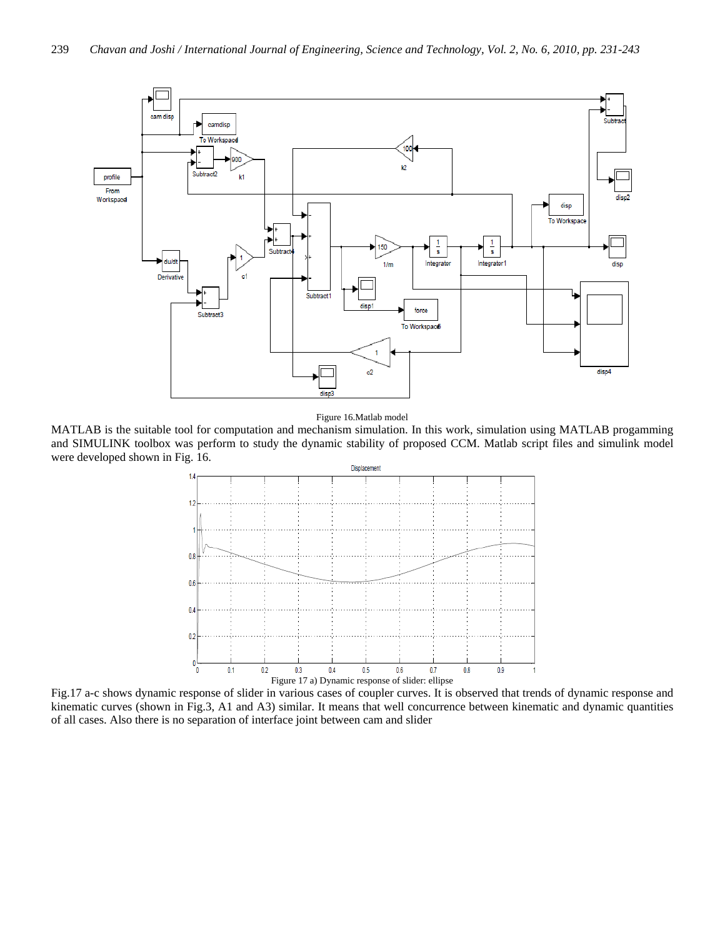

Figure 16.Matlab model

MATLAB is the suitable tool for computation and mechanism simulation. In this work, simulation using MATLAB progamming and SIMULINK toolbox was perform to study the dynamic stability of proposed CCM. Matlab script files and simulink model were developed shown in Fig. 16.



Fig.17 a-c shows dynamic response of slider in various cases of coupler curves. It is observed that trends of dynamic response and kinematic curves (shown in Fig.3, A1 and A3) similar. It means that well concurrence between kinematic and dynamic quantities of all cases. Also there is no separation of interface joint between cam and slider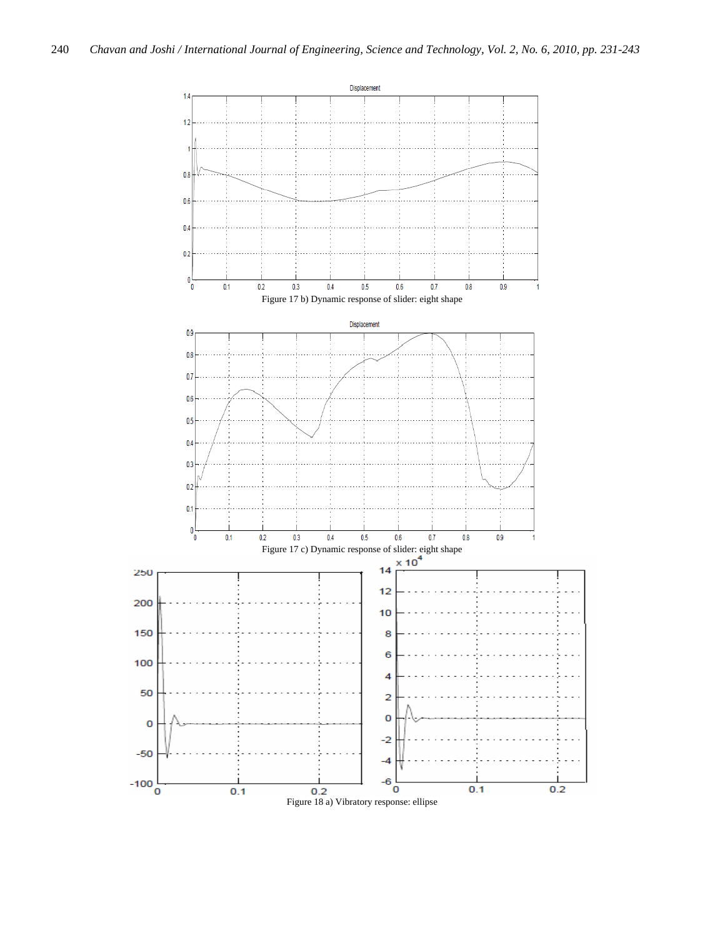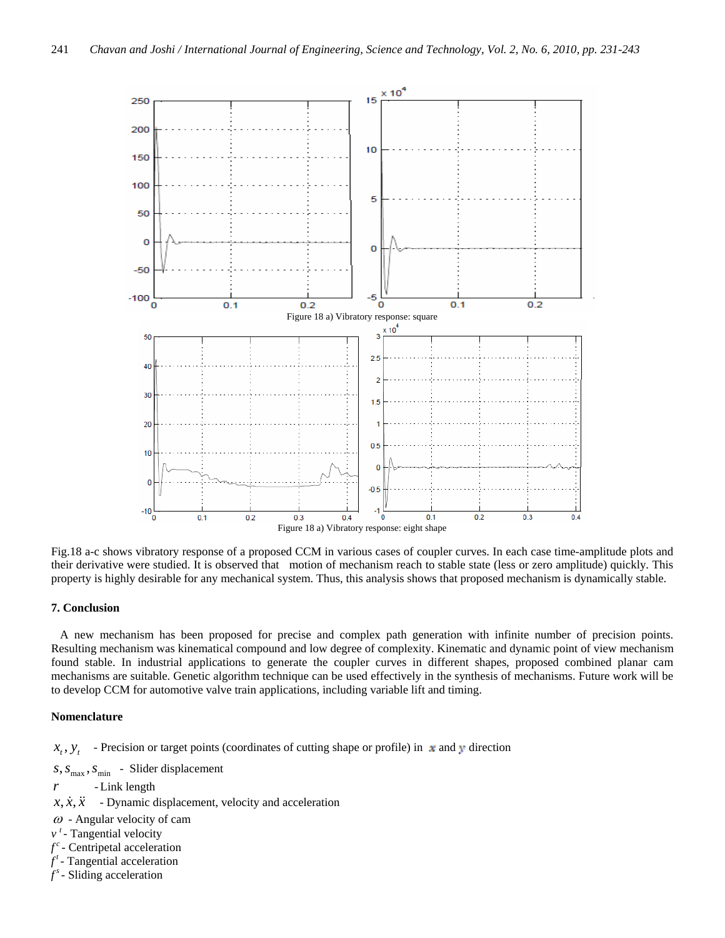

Fig.18 a-c shows vibratory response of a proposed CCM in various cases of coupler curves. In each case time-amplitude plots and their derivative were studied. It is observed that motion of mechanism reach to stable state (less or zero amplitude) quickly. This property is highly desirable for any mechanical system. Thus, this analysis shows that proposed mechanism is dynamically stable.

# **7. Conclusion**

 A new mechanism has been proposed for precise and complex path generation with infinite number of precision points. Resulting mechanism was kinematical compound and low degree of complexity. Kinematic and dynamic point of view mechanism found stable. In industrial applications to generate the coupler curves in different shapes, proposed combined planar cam mechanisms are suitable. Genetic algorithm technique can be used effectively in the synthesis of mechanisms. Future work will be to develop CCM for automotive valve train applications, including variable lift and timing.

#### **Nomenclature**

 $x_t$ ,  $y_t$  - Precision or target points (coordinates of cutting shape or profile) in  $\neq$  and  $\neq$  direction

 $s, s_{\text{max}}, s_{\text{min}}$  - Slider displacement

- *r*  Link length
- $x, \dot{x}, \ddot{x}$  Dynamic displacement, velocity and acceleration
- $\omega$  Angular velocity of cam
- $v<sup>t</sup>$  Tangential velocity
- $f^c$  Centripetal acceleration
- $f^t$  Tangential acceleration
- $f^s$  Sliding acceleration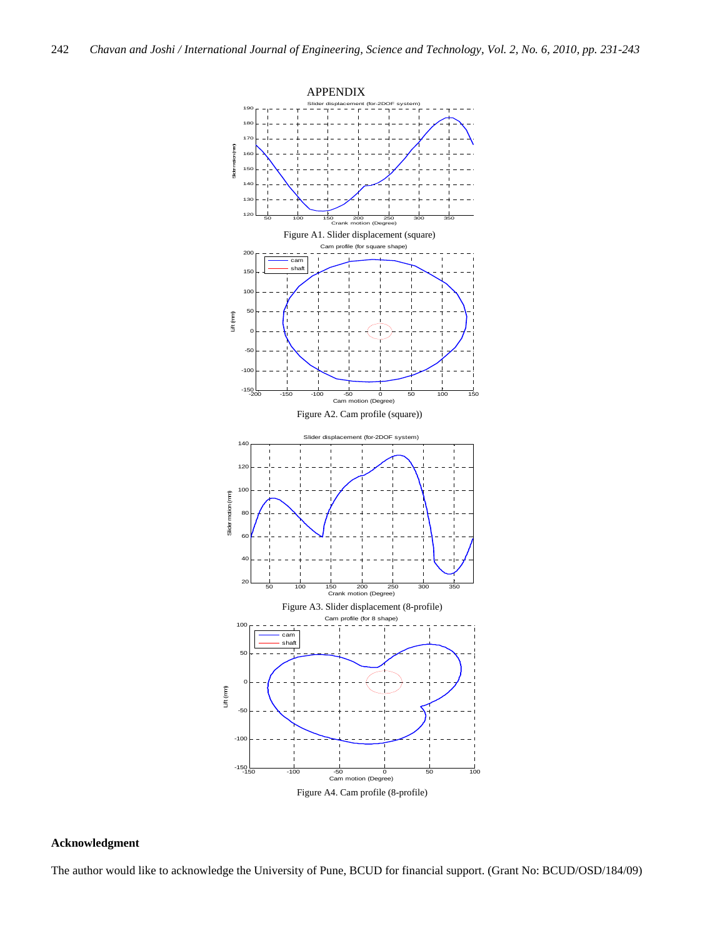

# **Acknowledgment**

The author would like to acknowledge the University of Pune, BCUD for financial support. (Grant No: BCUD/OSD/184/09)